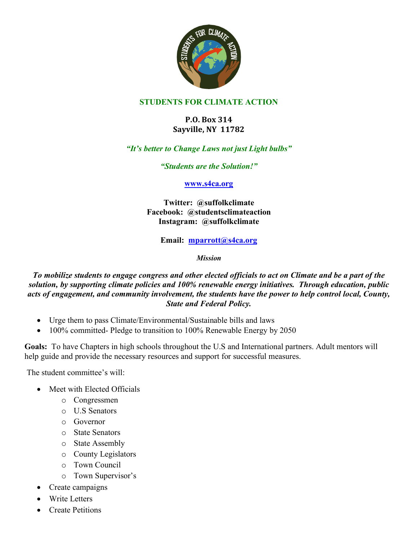

## **STUDENTS FOR CLIMATE ACTION**

## **P.O. Box 314 Sayville, NY 11782**

## *"It's better to Change Laws not just Light bulbs"*

*"Students are the Solution!"*

#### **www.s4ca.org**

**Twitter: @suffolkclimate Facebook: @studentsclimateaction Instagram: @suffolkclimate**

**Email: mparrott@s4ca.org**

*Mission*

### *To mobilize students to engage congress and other elected officials to act on Climate and be a part of the solution, by supporting climate policies and 100% renewable energy initiatives. Through education, public acts of engagement, and community involvement, the students have the power to help control local, County, State and Federal Policy.*

- Urge them to pass Climate/Environmental/Sustainable bills and laws
- 100% committed- Pledge to transition to 100% Renewable Energy by 2050

**Goals:** To have Chapters in high schools throughout the U.S and International partners. Adult mentors will help guide and provide the necessary resources and support for successful measures.

The student committee's will:

- Meet with Elected Officials
	- o Congressmen
	- o U.S Senators
	- o Governor
	- o State Senators
	- o State Assembly
	- o County Legislators
	- o Town Council
	- o Town Supervisor's
- Create campaigns
- Write Letters
- Create Petitions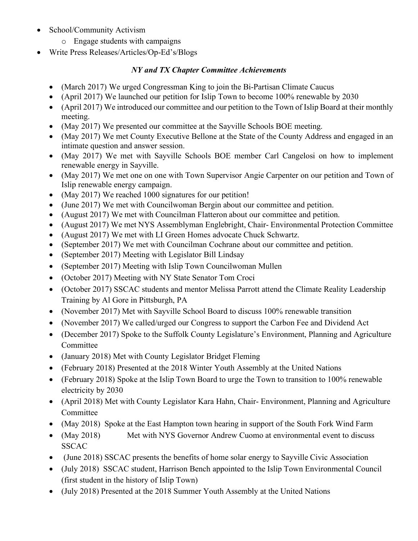- School/Community Activism
	- o Engage students with campaigns
- Write Press Releases/Articles/Op-Ed's/Blogs

# *NY and TX Chapter Committee Achievements*

- (March 2017) We urged Congressman King to join the Bi-Partisan Climate Caucus
- (April 2017) We launched our petition for Islip Town to become 100% renewable by 2030
- (April 2017) We introduced our committee and our petition to the Town of Islip Board at their monthly meeting.
- (May 2017) We presented our committee at the Sayville Schools BOE meeting.
- (May 2017) We met County Executive Bellone at the State of the County Address and engaged in an intimate question and answer session.
- (May 2017) We met with Sayville Schools BOE member Carl Cangelosi on how to implement renewable energy in Sayville.
- (May 2017) We met one on one with Town Supervisor Angie Carpenter on our petition and Town of Islip renewable energy campaign.
- (May 2017) We reached 1000 signatures for our petition!
- (June 2017) We met with Councilwoman Bergin about our committee and petition.
- (August 2017) We met with Councilman Flatteron about our committee and petition.
- (August 2017) We met NYS Assemblyman Englebright, Chair- Environmental Protection Committee
- (August 2017) We met with LI Green Homes advocate Chuck Schwartz.
- (September 2017) We met with Councilman Cochrane about our committee and petition.
- (September 2017) Meeting with Legislator Bill Lindsay
- (September 2017) Meeting with Islip Town Councilwoman Mullen
- (October 2017) Meeting with NY State Senator Tom Croci
- (October 2017) SSCAC students and mentor Melissa Parrott attend the Climate Reality Leadership Training by Al Gore in Pittsburgh, PA
- (November 2017) Met with Sayville School Board to discuss 100% renewable transition
- (November 2017) We called/urged our Congress to support the Carbon Fee and Dividend Act
- (December 2017) Spoke to the Suffolk County Legislature's Environment, Planning and Agriculture Committee
- (January 2018) Met with County Legislator Bridget Fleming
- (February 2018) Presented at the 2018 Winter Youth Assembly at the United Nations
- (February 2018) Spoke at the Islip Town Board to urge the Town to transition to 100% renewable electricity by 2030
- (April 2018) Met with County Legislator Kara Hahn, Chair- Environment, Planning and Agriculture Committee
- (May 2018) Spoke at the East Hampton town hearing in support of the South Fork Wind Farm
- (May 2018) Met with NYS Governor Andrew Cuomo at environmental event to discuss SSCAC
- (June 2018) SSCAC presents the benefits of home solar energy to Sayville Civic Association
- (July 2018) SSCAC student, Harrison Bench appointed to the Islip Town Environmental Council (first student in the history of Islip Town)
- (July 2018) Presented at the 2018 Summer Youth Assembly at the United Nations